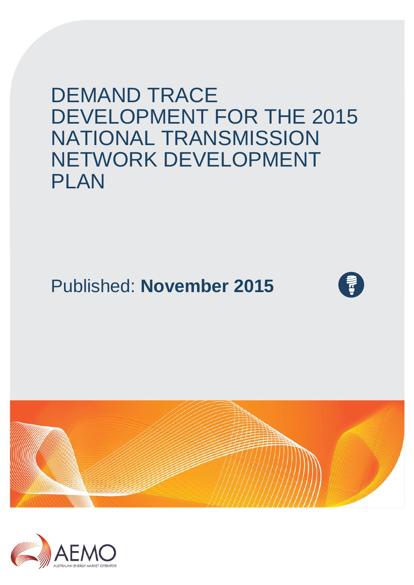DEMAND TRACE DEVELOPMENT FOR THE 2015 NATIONAL TRANSMISSION NETWORK DEVELOPMENT PLAN

# Published: **November 2015**





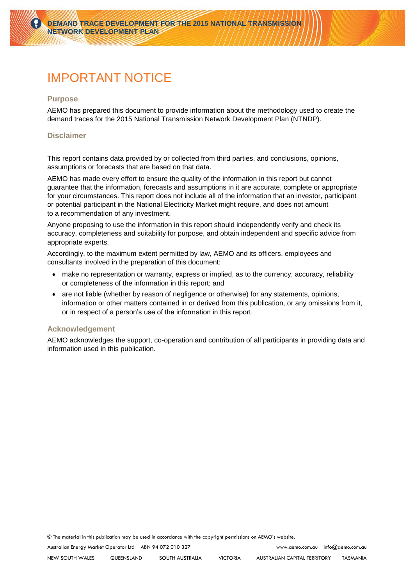## <span id="page-1-0"></span>IMPORTANT NOTICE

#### **Purpose**

AEMO has prepared this document to provide information about the methodology used to create the demand traces for the 2015 National Transmission Network Development Plan (NTNDP).

#### **Disclaimer**

This report contains data provided by or collected from third parties, and conclusions, opinions, assumptions or forecasts that are based on that data.

AEMO has made every effort to ensure the quality of the information in this report but cannot guarantee that the information, forecasts and assumptions in it are accurate, complete or appropriate for your circumstances. This report does not include all of the information that an investor, participant or potential participant in the National Electricity Market might require, and does not amount to a recommendation of any investment.

Anyone proposing to use the information in this report should independently verify and check its accuracy, completeness and suitability for purpose, and obtain independent and specific advice from appropriate experts.

Accordingly, to the maximum extent permitted by law, AEMO and its officers, employees and consultants involved in the preparation of this document:

- make no representation or warranty, express or implied, as to the currency, accuracy, reliability or completeness of the information in this report; and
- are not liable (whether by reason of negligence or otherwise) for any statements, opinions, information or other matters contained in or derived from this publication, or any omissions from it, or in respect of a person's use of the information in this report.

#### **Acknowledgement**

AEMO acknowledges the support, co-operation and contribution of all participants in providing data and information used in this publication.

© The material in this publication may be used in accordance with th[e copyright permissions](http://www.aemo.com.au/en/About-AEMO/Copyright-Permissions) on AEMO's website.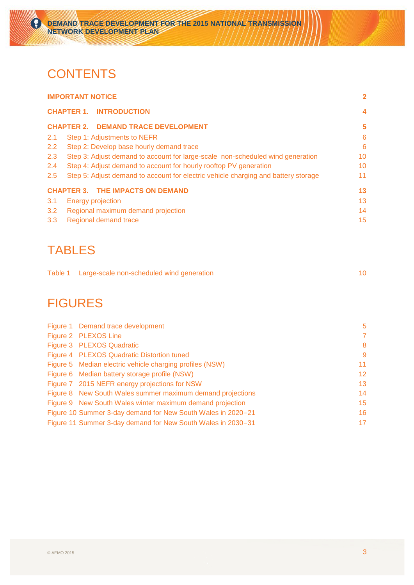## **CONTENTS**

ั₹ิ์

| <b>IMPORTANT NOTICE</b> |                                                                                    |    |  |  |  |
|-------------------------|------------------------------------------------------------------------------------|----|--|--|--|
|                         | <b>CHAPTER 1. INTRODUCTION</b>                                                     |    |  |  |  |
|                         | <b>CHAPTER 2. DEMAND TRACE DEVELOPMENT</b>                                         | 5  |  |  |  |
| 2.1                     | Step 1: Adjustments to NEFR                                                        | 6  |  |  |  |
| $2.2^{\circ}$           | Step 2: Develop base hourly demand trace                                           | 6  |  |  |  |
| 2.3                     | Step 3: Adjust demand to account for large-scale non-scheduled wind generation     | 10 |  |  |  |
| 2.4                     | Step 4: Adjust demand to account for hourly rooftop PV generation                  | 10 |  |  |  |
| 2.5                     | Step 5: Adjust demand to account for electric vehicle charging and battery storage | 11 |  |  |  |
|                         | <b>CHAPTER 3. THE IMPACTS ON DEMAND</b>                                            | 13 |  |  |  |
| 3.1                     | <b>Energy projection</b>                                                           | 13 |  |  |  |
| 3.2                     | Regional maximum demand projection                                                 | 14 |  |  |  |
| 3.3                     | Regional demand trace                                                              | 15 |  |  |  |

## TABLES

| Table 1 Large-scale non-scheduled wind generation |  |
|---------------------------------------------------|--|
|                                                   |  |

## FIGURES

| Figure 1 Demand trace development                            | 5  |
|--------------------------------------------------------------|----|
| Figure 2 PLEXOS Line                                         | 7  |
| Figure 3 PLEXOS Quadratic                                    | 8  |
| Figure 4 PLEXOS Quadratic Distortion tuned                   | 9  |
| Figure 5 Median electric vehicle charging profiles (NSW)     | 11 |
| Figure 6 Median battery storage profile (NSW)                | 12 |
| Figure 7 2015 NEFR energy projections for NSW                | 13 |
| Figure 8 New South Wales summer maximum demand projections   | 14 |
| Figure 9 New South Wales winter maximum demand projection    | 15 |
| Figure 10 Summer 3-day demand for New South Wales in 2020-21 | 16 |
| Figure 11 Summer 3-day demand for New South Wales in 2030–31 | 17 |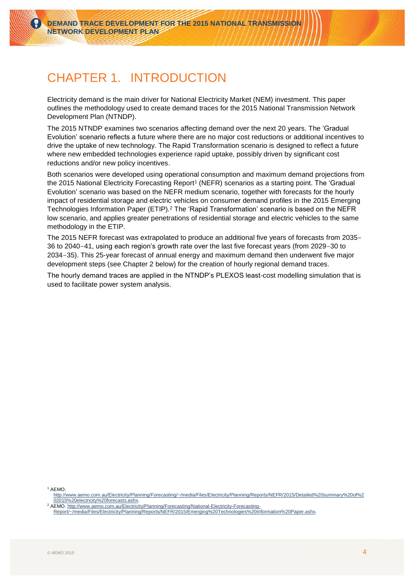## <span id="page-3-0"></span>CHAPTER 1. INTRODUCTION

Electricity demand is the main driver for National Electricity Market (NEM) investment. This paper outlines the methodology used to create demand traces for the 2015 National Transmission Network Development Plan (NTNDP).

The 2015 NTNDP examines two scenarios affecting demand over the next 20 years. The 'Gradual Evolution' scenario reflects a future where there are no major cost reductions or additional incentives to drive the uptake of new technology. The Rapid Transformation scenario is designed to reflect a future where new embedded technologies experience rapid uptake, possibly driven by significant cost reductions and/or new policy incentives.

Both scenarios were developed using operational consumption and maximum demand projections from the 2015 National Electricity Forecasting Report<sup>1</sup> (NEFR) scenarios as a starting point. The 'Gradual Evolution' scenario was based on the NEFR medium scenario, together with forecasts for the hourly impact of residential storage and electric vehicles on consumer demand profiles in the 2015 Emerging Technologies Information Paper (ETIP). $^2$  The 'Rapid Transformation' scenario is based on the NEFR low scenario, and applies greater penetrations of residential storage and electric vehicles to the same methodology in the ETIP.

The 2015 NEFR forecast was extrapolated to produce an additional five years of forecasts from 2035- 36 to 2040-41, using each region's growth rate over the last five forecast years (from 2029-30 to 2034-35). This 25-year forecast of annual energy and maximum demand then underwent five major development steps (see [Chapter 2](#page-4-2) below) for the creation of hourly regional demand traces.

The hourly demand traces are applied in the NTNDP's PLEXOS least-cost modelling simulation that is used to facilitate power system analysis.

<sup>1</sup> AEMO.

[http://www.aemo.com.au/Electricity/Planning/Forecasting/~/media/Files/Electricity/Planning/Reports/NEFR/2015/Detailed%20summary%20of%2](http://www.aemo.com.au/Electricity/Planning/Forecasting/~/media/Files/Electricity/Planning/Reports/NEFR/2015/Detailed%20summary%20of%202015%20electricity%20forecasts.ashx) [02015%20electricity%20forecasts.ashx.](http://www.aemo.com.au/Electricity/Planning/Forecasting/~/media/Files/Electricity/Planning/Reports/NEFR/2015/Detailed%20summary%20of%202015%20electricity%20forecasts.ashx)

<sup>&</sup>lt;sup>2</sup> AEMO. [http://www.aemo.com.au/Electricity/Planning/Forecasting/National-Electricity-Forecasting-](http://www.aemo.com.au/Electricity/Planning/Forecasting/National-Electricity-Forecasting-Report/~/media/Files/Electricity/Planning/Reports/NEFR/2015/Emerging%20Technologies%20Information%20Paper.ashx)[Report/~/media/Files/Electricity/Planning/Reports/NEFR/2015/Emerging%20Technologies%20Information%20Paper.ashx.](http://www.aemo.com.au/Electricity/Planning/Forecasting/National-Electricity-Forecasting-Report/~/media/Files/Electricity/Planning/Reports/NEFR/2015/Emerging%20Technologies%20Information%20Paper.ashx)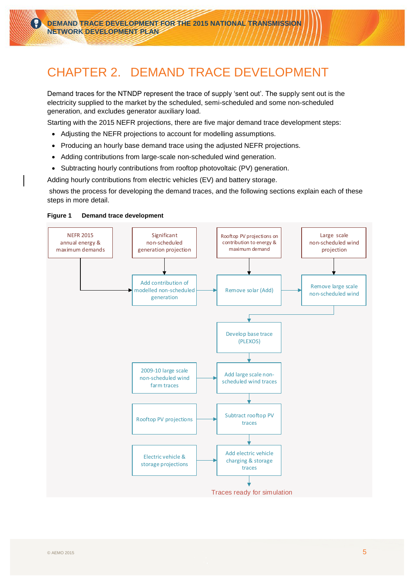## <span id="page-4-2"></span><span id="page-4-0"></span>CHAPTER 2. DEMAND TRACE DEVELOPMENT

Demand traces for the NTNDP represent the trace of supply 'sent out'. The supply sent out is the electricity supplied to the market by the scheduled, semi-scheduled and some non-scheduled generation, and excludes generator auxiliary load.

Starting with the 2015 NEFR projections, there are five major demand trace development steps:

- Adjusting the NEFR projections to account for modelling assumptions.
- Producing an hourly base demand trace using the adjusted NEFR projections.
- Adding contributions from large-scale non-scheduled wind generation.
- Subtracting hourly contributions from rooftop photovoltaic (PV) generation.

Adding hourly contributions from electric vehicles (EV) and battery storage[.](#page-4-3)

<span id="page-4-3"></span>shows the process for developing the demand traces, and the following sections explain each of these steps in more detail.

#### <span id="page-4-1"></span>**Figure 1 Demand trace development**

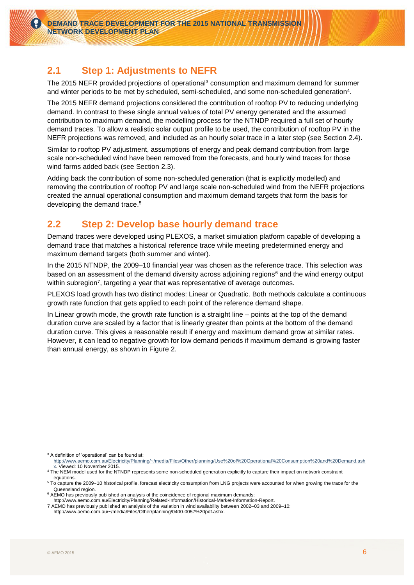### <span id="page-5-2"></span><span id="page-5-0"></span>**2.1 Step 1: Adjustments to NEFR**

The 2015 NEFR provided projections of operational<sup>3</sup> consumption and maximum demand for summer and winter periods to be met by scheduled, semi-scheduled, and some non-scheduled generation<sup>4</sup> .

The 2015 NEFR demand projections considered the contribution of rooftop PV to reducing underlying demand. In contrast to these single annual values of total PV energy generated and the assumed contribution to maximum demand, the modelling process for the NTNDP required a full set of hourly demand traces. To allow a realistic solar output profile to be used, the contribution of rooftop PV in the NEFR projections was removed, and included as an hourly solar trace in a later step (see Section [2.4\)](#page-9-3).

Similar to rooftop PV adjustment, assumptions of energy and peak demand contribution from large scale non-scheduled wind have been removed from the forecasts, and hourly wind traces for those wind farms added back (see Section [2.3\)](#page-9-4).

Adding back the contribution of some non-scheduled generation (that is explicitly modelled) and removing the contribution of rooftop PV and large scale non-scheduled wind from the NEFR projections created the annual operational consumption and maximum demand targets that form the basis for developing the demand trace. 5

### <span id="page-5-1"></span>**2.2 Step 2: Develop base hourly demand trace**

Demand traces were developed using PLEXOS, a market simulation platform capable of developing a demand trace that matches a historical reference trace while meeting predetermined energy and maximum demand targets (both summer and winter).

In the 2015 NTNDP, the 2009–10 financial year was chosen as the reference trace. This selection was based on an assessment of the demand diversity across adjoining regions<sup>6</sup> and the wind energy output within subregion<sup>7</sup>, targeting a year that was representative of average outcomes.

PLEXOS load growth has two distinct modes: Linear or Quadratic. Both methods calculate a continuous growth rate function that gets applied to each point of the reference demand shape.

In Linear growth mode, the growth rate function is a straight line – points at the top of the demand duration curve are scaled by a factor that is linearly greater than points at the bottom of the demand duration curve. This gives a reasonable result if energy and maximum demand grow at similar rates. However, it can lead to negative growth for low demand periods if maximum demand is growing faster than annual energy, as shown in [Figure 2.](#page-6-1)

 $3$  A definition of 'operational' can be found at:

[http://www.aemo.com.au/Electricity/Planning/~/media/Files/Other/planning/Use%20of%20Operational%20Consumption%20and%20Demand.ash](http://www.aemo.com.au/Electricity/Planning/~/media/Files/Other/planning/Use%20of%20Operational%20Consumption%20and%20Demand.ashx) [x.](http://www.aemo.com.au/Electricity/Planning/~/media/Files/Other/planning/Use%20of%20Operational%20Consumption%20and%20Demand.ashx) Viewed: 10 November 2015.

<sup>&</sup>lt;sup>4</sup> The NEM model used for the NTNDP represents some non-scheduled generation explicitly to capture their impact on network constraint equations.

<sup>5</sup> To capture the 2009-10 historical profile, forecast electricity consumption from LNG projects were accounted for when growing the trace for the Queensland region.

<sup>6</sup> AEMO has previously published an analysis of the coincidence of regional maximum demands:

http://www.aemo.com.au/Electricity/Planning/Related-Information/Historical-Market-Information-Report. 7 AEMO has previously published an analysis of the variation in wind availability between 2002–03 and 2009–10:

http://www.aemo.com.au/~/media/Files/Other/planning/0400-0057%20pdf.ashx.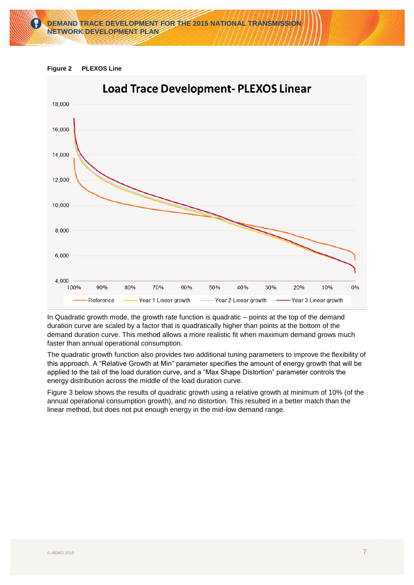

<span id="page-6-1"></span><span id="page-6-0"></span>



In Quadratic growth mode, the growth rate function is quadratic – points at the top of the demand duration curve are scaled by a factor that is quadratically higher than points at the bottom of the demand duration curve. This method allows a more realistic fit when maximum demand grows much faster than annual operational consumption.

The quadratic growth function also provides two additional tuning parameters to improve the flexibility of this approach. A "Relative Growth at Min" parameter specifies the amount of energy growth that will be applied to the tail of the load duration curve, and a "Max Shape Distortion" parameter controls the energy distribution across the middle of the load duration curve.

[Figure 3](#page-7-1) below shows the results of quadratic growth using a relative growth at minimum of 10% (of the annual operational consumption growth), and no distortion. This resulted in a better match than the linear method, but does not put enough energy in the mid-low demand range.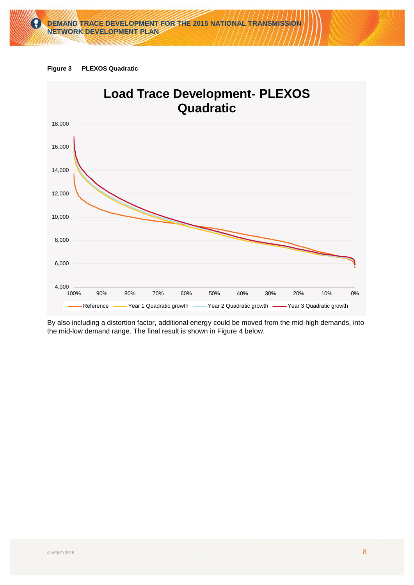

<span id="page-7-1"></span><span id="page-7-0"></span>



By also including a distortion factor, additional energy could be moved from the mid-high demands, into the mid-low demand range. The final result is shown in [Figure 4](#page-8-1) below.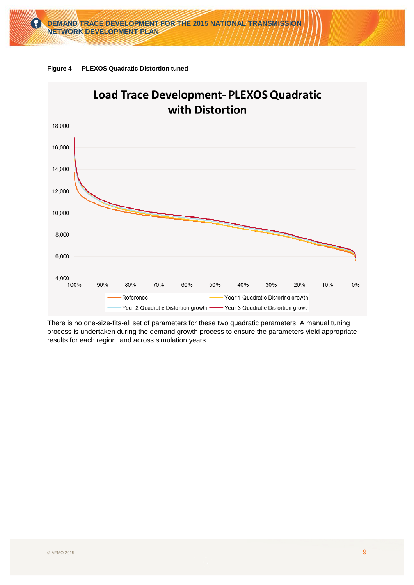# **DEMAND TRACE DEVELOPMENT FOR THE 2015 NATIONAL TRANSMISSION NETWORK DEVELOPMENT PLAN**



<span id="page-8-1"></span><span id="page-8-0"></span>

There is no one-size-fits-all set of parameters for these two quadratic parameters. A manual tuning process is undertaken during the demand growth process to ensure the parameters yield appropriate results for each region, and across simulation years.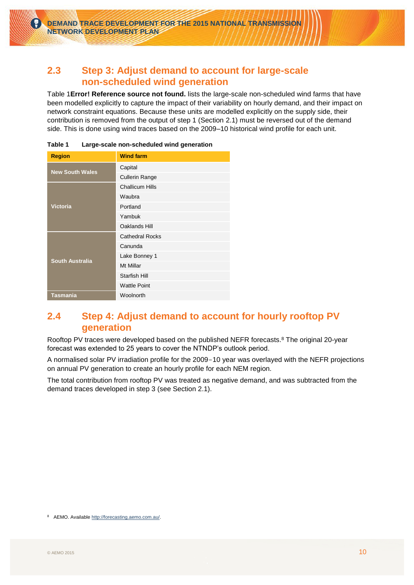### <span id="page-9-4"></span><span id="page-9-0"></span>**2.3 Step 3: Adjust demand to account for large-scale non-scheduled wind generation**

[Table 1](#page-9-5)**[Error! Reference source not found.](#page-9-5)** lists the large-scale non-scheduled wind farms that have been modelled explicitly to capture the impact of their variability on hourly demand, and their impact on network constraint equations. Because these units are modelled explicitly on the supply side, their contribution is removed from the output of step 1 (Section [2.1\)](#page-5-2) must be reversed out of the demand side. This is done using wind traces based on the 2009–10 historical wind profile for each unit.

| <b>Region</b>          | <b>Wind farm</b>       |
|------------------------|------------------------|
| <b>New South Wales</b> | Capital                |
|                        | <b>Cullerin Range</b>  |
|                        | <b>Challicum Hills</b> |
|                        | Waubra                 |
| <b>Victoria</b>        | Portland               |
|                        | Yambuk                 |
|                        | Oaklands Hill          |
|                        | <b>Cathedral Rocks</b> |
|                        | Canunda                |
| <b>South Australia</b> | Lake Bonney 1          |
|                        | Mt Millar              |
|                        | <b>Starfish Hill</b>   |
|                        | <b>Wattle Point</b>    |
| <b>Tasmania</b>        | Woolnorth              |

<span id="page-9-5"></span><span id="page-9-2"></span>**Table 1 Large-scale non-scheduled wind generation**

### <span id="page-9-3"></span><span id="page-9-1"></span>**2.4 Step 4: Adjust demand to account for hourly rooftop PV generation**

Rooftop PV traces were developed based on the published NEFR forecasts.<sup>8</sup> The original 20-year forecast was extended to 25 years to cover the NTNDP's outlook period.

A normalised solar PV irradiation profile for the 2009-10 year was overlayed with the NEFR projections on annual PV generation to create an hourly profile for each NEM region.

The total contribution from rooftop PV was treated as negative demand, and was subtracted from the demand traces developed in step 3 (see Section [2.1\)](#page-5-2).

<sup>8</sup> AEMO. Available [http://forecasting.aemo.com.au/.](http://forecasting.aemo.com.au/)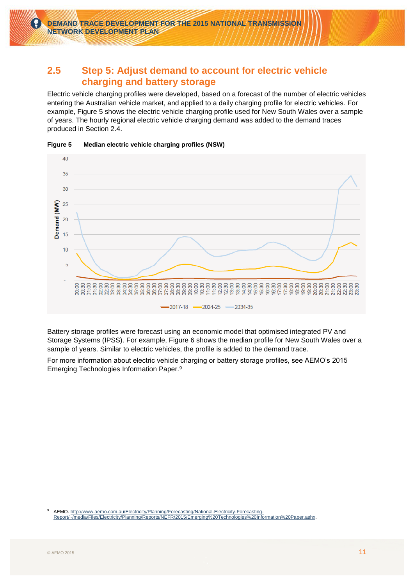#### <span id="page-10-0"></span>**2.5 Step 5: Adjust demand to account for electric vehicle charging and battery storage**

Electric vehicle charging profiles were developed, based on a forecast of the number of electric vehicles entering the Australian vehicle market, and applied to a daily charging profile for electric vehicles. For example, [Figure 5](#page-10-2) shows the electric vehicle charging profile used for New South Wales over a sample of years. The hourly regional electric vehicle charging demand was added to the demand traces produced in Section [2.4.](#page-9-3)



<span id="page-10-2"></span><span id="page-10-1"></span>**Figure 5 Median electric vehicle charging profiles (NSW)**

Battery storage profiles were forecast using an economic model that optimised integrated PV and Storage Systems (IPSS). For example, [Figure 6](#page-11-1) shows the median profile for New South Wales over a sample of years. Similar to electric vehicles, the profile is added to the demand trace.

For more information about electric vehicle charging or battery storage profiles, see AEMO's 2015 Emerging Technologies Information Paper.<sup>9</sup>

 $\overline{9}$ <sup>9</sup> AEMO[. http://www.aemo.com.au/Electricity/Planning/Forecasting/National-Electricity-Forecasting-](http://www.aemo.com.au/Electricity/Planning/Forecasting/National-Electricity-Forecasting-Report/~/media/Files/Electricity/Planning/Reports/NEFR/2015/Emerging%20Technologies%20Information%20Paper.ashx)[Report/~/media/Files/Electricity/Planning/Reports/NEFR/2015/Emerging%20Technologies%20Information%20Paper.ashx.](http://www.aemo.com.au/Electricity/Planning/Forecasting/National-Electricity-Forecasting-Report/~/media/Files/Electricity/Planning/Reports/NEFR/2015/Emerging%20Technologies%20Information%20Paper.ashx)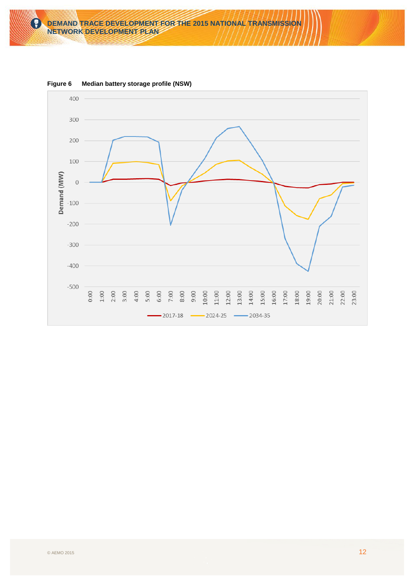

<span id="page-11-1"></span><span id="page-11-0"></span>**Figure 6 Median battery storage profile (NSW)**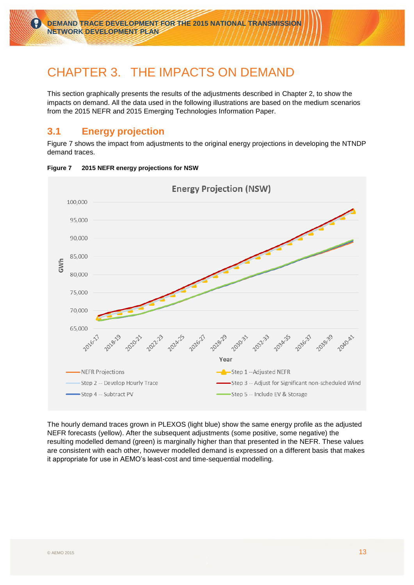### <span id="page-12-0"></span>CHAPTER 3. THE IMPACTS ON DEMAND

This section graphically presents the results of the adjustments described in Chapter 2, to show the impacts on demand. All the data used in the following illustrations are based on the medium scenarios from the 2015 NEFR and 2015 Emerging Technologies Information Paper.

### <span id="page-12-1"></span>**3.1 Energy projection**

[Figure 7](#page-12-3) shows the impact from adjustments to the original energy projections in developing the NTNDP demand traces.



#### <span id="page-12-3"></span><span id="page-12-2"></span>**Figure 7 2015 NEFR energy projections for NSW**

The hourly demand traces grown in PLEXOS (light blue) show the same energy profile as the adjusted NEFR forecasts (yellow). After the subsequent adjustments (some positive, some negative) the resulting modelled demand (green) is marginally higher than that presented in the NEFR. These values are consistent with each other, however modelled demand is expressed on a different basis that makes it appropriate for use in AEMO's least-cost and time-sequential modelling.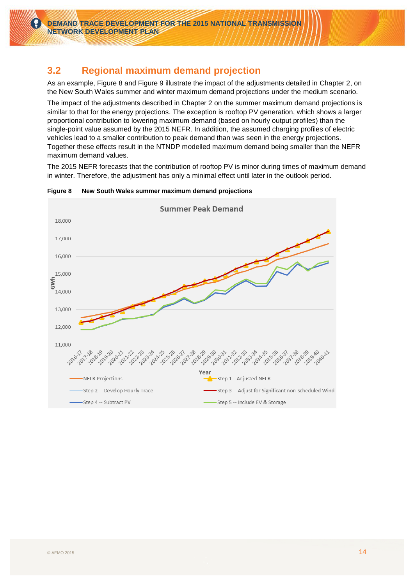### <span id="page-13-0"></span>**3.2 Regional maximum demand projection**

As an example, [Figure 8](#page-13-2) and [Figure 9](#page-14-2) illustrate the impact of the adjustments detailed in Chapter 2, on the New South Wales summer and winter maximum demand projections under the medium scenario.

The impact of the adjustments described in Chapter 2 on the summer maximum demand projections is similar to that for the energy projections. The exception is rooftop PV generation, which shows a larger proportional contribution to lowering maximum demand (based on hourly output profiles) than the single-point value assumed by the 2015 NEFR. In addition, the assumed charging profiles of electric vehicles lead to a smaller contribution to peak demand than was seen in the energy projections. Together these effects result in the NTNDP modelled maximum demand being smaller than the NEFR maximum demand values.

The 2015 NEFR forecasts that the contribution of rooftop PV is minor during times of maximum demand in winter. Therefore, the adjustment has only a minimal effect until later in the outlook period.



#### <span id="page-13-2"></span><span id="page-13-1"></span>**Figure 8 New South Wales summer maximum demand projections**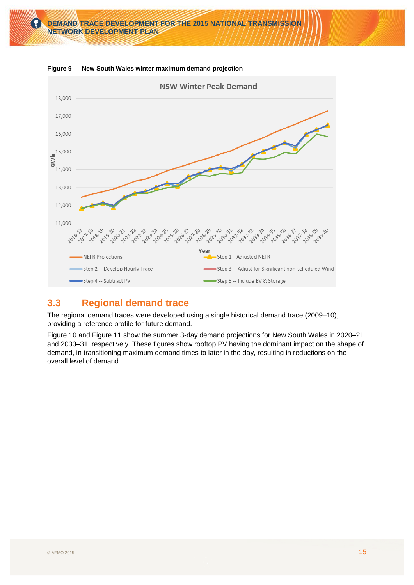

<span id="page-14-2"></span><span id="page-14-1"></span>**Figure 9 New South Wales winter maximum demand projection**

### <span id="page-14-0"></span>**3.3 Regional demand trace**

The regional demand traces were developed using a single historical demand trace (2009–10), providing a reference profile for future demand.

[Figure 10](#page-15-1) and [Figure 11](#page-16-1) show the summer 3-day demand projections for New South Wales in 2020–21 and 2030–31, respectively. These figures show rooftop PV having the dominant impact on the shape of demand, in transitioning maximum demand times to later in the day, resulting in reductions on the overall level of demand.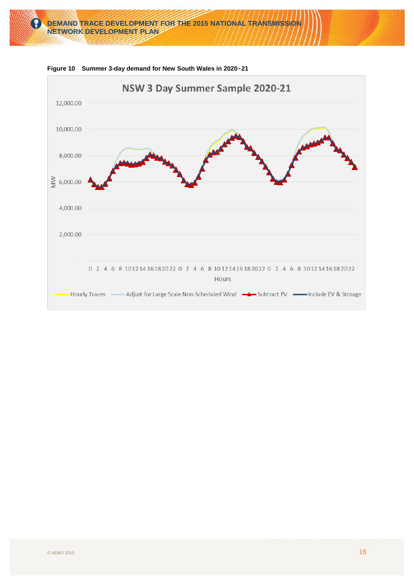

<span id="page-15-1"></span><span id="page-15-0"></span>**Figure 10 Summer 3-day demand for New South Wales in 2020-21**